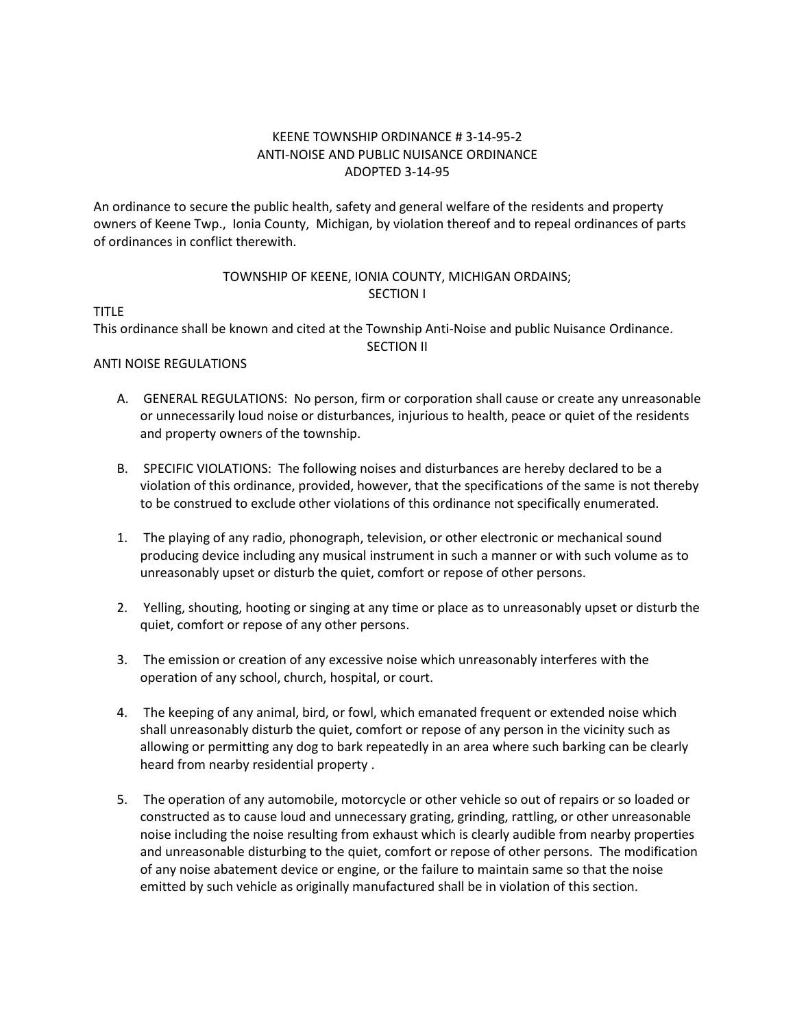## KEENE TOWNSHIP ORDINANCE # 3-14-95-2 ANTI-NOISE AND PUBLIC NUISANCE ORDINANCE ADOPTED 3-14-95

An ordinance to secure the public health, safety and general welfare of the residents and property owners of Keene Twp., Ionia County, Michigan, by violation thereof and to repeal ordinances of parts of ordinances in conflict therewith.

# TOWNSHIP OF KEENE, IONIA COUNTY, MICHIGAN ORDAINS; SECTION I

TITLE

This ordinance shall be known and cited at the Township Anti-Noise and public Nuisance Ordinance. SECTION II

# ANTI NOISE REGULATIONS

- A. GENERAL REGULATIONS: No person, firm or corporation shall cause or create any unreasonable or unnecessarily loud noise or disturbances, injurious to health, peace or quiet of the residents and property owners of the township.
- B. SPECIFIC VIOLATIONS: The following noises and disturbances are hereby declared to be a violation of this ordinance, provided, however, that the specifications of the same is not thereby to be construed to exclude other violations of this ordinance not specifically enumerated.
- 1. The playing of any radio, phonograph, television, or other electronic or mechanical sound producing device including any musical instrument in such a manner or with such volume as to unreasonably upset or disturb the quiet, comfort or repose of other persons.
- 2. Yelling, shouting, hooting or singing at any time or place as to unreasonably upset or disturb the quiet, comfort or repose of any other persons.
- 3. The emission or creation of any excessive noise which unreasonably interferes with the operation of any school, church, hospital, or court.
- 4. The keeping of any animal, bird, or fowl, which emanated frequent or extended noise which shall unreasonably disturb the quiet, comfort or repose of any person in the vicinity such as allowing or permitting any dog to bark repeatedly in an area where such barking can be clearly heard from nearby residential property .
- 5. The operation of any automobile, motorcycle or other vehicle so out of repairs or so loaded or constructed as to cause loud and unnecessary grating, grinding, rattling, or other unreasonable noise including the noise resulting from exhaust which is clearly audible from nearby properties and unreasonable disturbing to the quiet, comfort or repose of other persons. The modification of any noise abatement device or engine, or the failure to maintain same so that the noise emitted by such vehicle as originally manufactured shall be in violation of this section.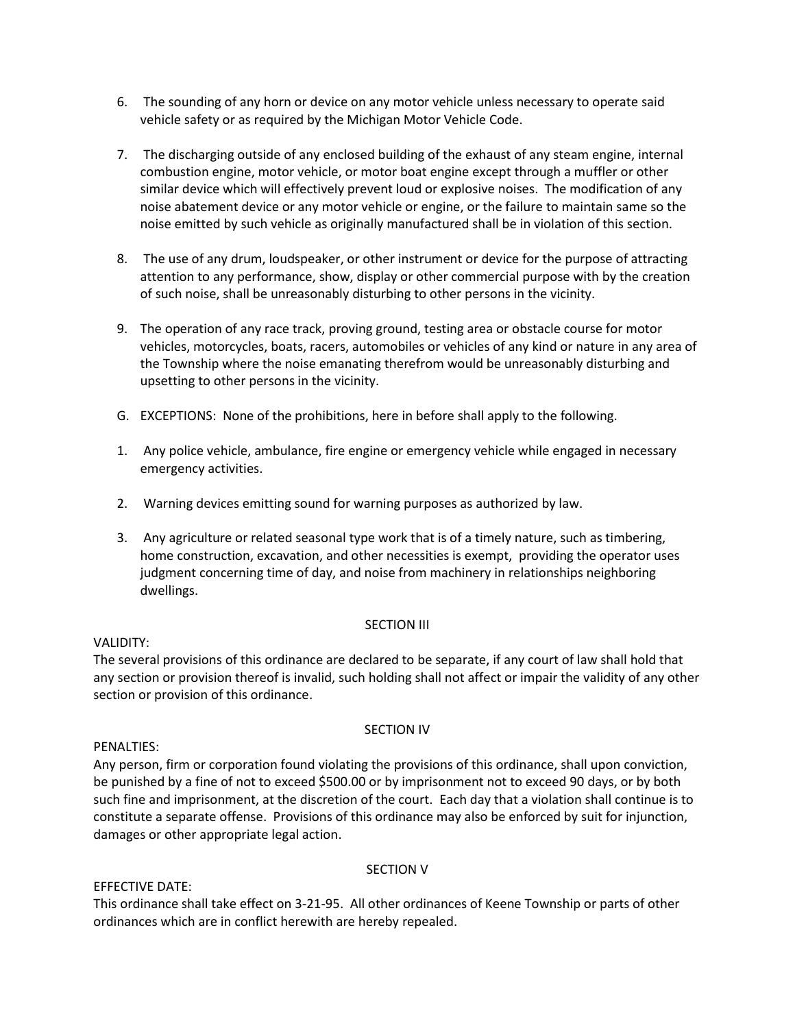- 6. The sounding of any horn or device on any motor vehicle unless necessary to operate said vehicle safety or as required by the Michigan Motor Vehicle Code.
- 7. The discharging outside of any enclosed building of the exhaust of any steam engine, internal combustion engine, motor vehicle, or motor boat engine except through a muffler or other similar device which will effectively prevent loud or explosive noises. The modification of any noise abatement device or any motor vehicle or engine, or the failure to maintain same so the noise emitted by such vehicle as originally manufactured shall be in violation of this section.
- 8. The use of any drum, loudspeaker, or other instrument or device for the purpose of attracting attention to any performance, show, display or other commercial purpose with by the creation of such noise, shall be unreasonably disturbing to other persons in the vicinity.
- 9. The operation of any race track, proving ground, testing area or obstacle course for motor vehicles, motorcycles, boats, racers, automobiles or vehicles of any kind or nature in any area of the Township where the noise emanating therefrom would be unreasonably disturbing and upsetting to other persons in the vicinity.
- G. EXCEPTIONS: None of the prohibitions, here in before shall apply to the following.
- 1. Any police vehicle, ambulance, fire engine or emergency vehicle while engaged in necessary emergency activities.
- 2. Warning devices emitting sound for warning purposes as authorized by law.
- 3. Any agriculture or related seasonal type work that is of a timely nature, such as timbering, home construction, excavation, and other necessities is exempt, providing the operator uses judgment concerning time of day, and noise from machinery in relationships neighboring dwellings.

### SECTION III

### VALIDITY:

The several provisions of this ordinance are declared to be separate, if any court of law shall hold that any section or provision thereof is invalid, such holding shall not affect or impair the validity of any other section or provision of this ordinance.

### SECTION IV

### PENALTIES:

Any person, firm or corporation found violating the provisions of this ordinance, shall upon conviction, be punished by a fine of not to exceed \$500.00 or by imprisonment not to exceed 90 days, or by both such fine and imprisonment, at the discretion of the court. Each day that a violation shall continue is to constitute a separate offense. Provisions of this ordinance may also be enforced by suit for injunction, damages or other appropriate legal action.

### SECTION V

### EFFECTIVE DATE:

This ordinance shall take effect on 3-21-95. All other ordinances of Keene Township or parts of other ordinances which are in conflict herewith are hereby repealed.